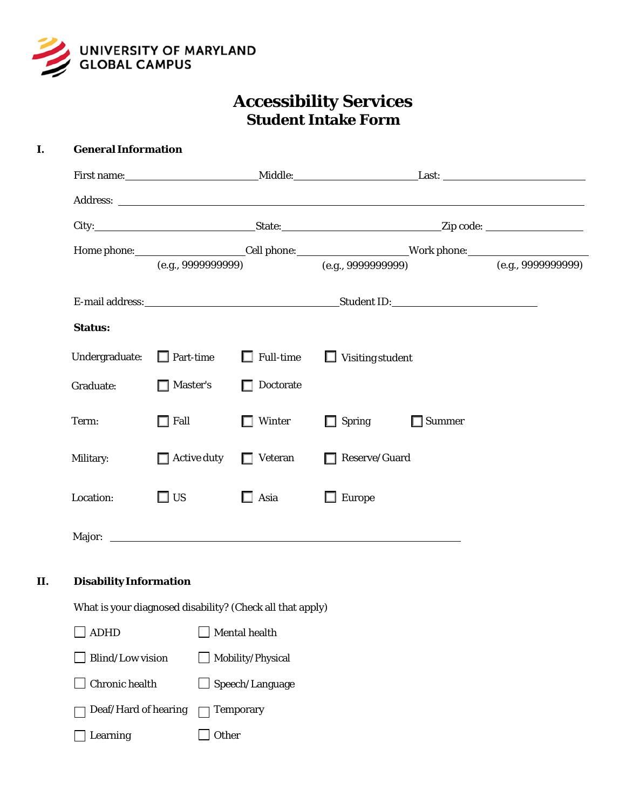

# **Accessibility Services Student Intake Form**

| I.  | <b>General Information</b>                                |                    |                                   |                                                                                                                                                                                                                               |  |  |  |
|-----|-----------------------------------------------------------|--------------------|-----------------------------------|-------------------------------------------------------------------------------------------------------------------------------------------------------------------------------------------------------------------------------|--|--|--|
|     |                                                           |                    |                                   |                                                                                                                                                                                                                               |  |  |  |
|     |                                                           |                    |                                   |                                                                                                                                                                                                                               |  |  |  |
|     |                                                           |                    |                                   |                                                                                                                                                                                                                               |  |  |  |
|     |                                                           |                    |                                   |                                                                                                                                                                                                                               |  |  |  |
|     |                                                           |                    |                                   |                                                                                                                                                                                                                               |  |  |  |
|     |                                                           |                    |                                   |                                                                                                                                                                                                                               |  |  |  |
|     | <b>Status:</b>                                            |                    |                                   |                                                                                                                                                                                                                               |  |  |  |
|     | Undergraduate:                                            |                    | $\Box$ Part-time $\Box$ Full-time | $\Box$ Visiting student                                                                                                                                                                                                       |  |  |  |
|     | Graduate:                                                 | Master's           | $\Box$ Doctorate                  |                                                                                                                                                                                                                               |  |  |  |
|     | Term:                                                     | $\Box$ Fall        | $\Box$ Winter                     | $\Box$ Spring<br>$\Box$ Summer                                                                                                                                                                                                |  |  |  |
|     | Military:                                                 | $\Box$ Active duty | $\Box$ Veteran                    | Reserve/Guard                                                                                                                                                                                                                 |  |  |  |
|     | Location:                                                 | $\square$ US       | $\Box$ Asia                       | $\Box$ Europe                                                                                                                                                                                                                 |  |  |  |
|     |                                                           |                    |                                   | Major: National Communication of the Communication of the Communication of the Communication of the Communication of the Communication of the Communication of the Communication of the Communication of the Communication of |  |  |  |
| II. | <b>Disability Information</b>                             |                    |                                   |                                                                                                                                                                                                                               |  |  |  |
|     | What is your diagnosed disability? (Check all that apply) |                    |                                   |                                                                                                                                                                                                                               |  |  |  |
|     | <b>ADHD</b>                                               |                    | Mental health                     |                                                                                                                                                                                                                               |  |  |  |
|     | Blind/Low vision                                          |                    | Mobility/Physical                 |                                                                                                                                                                                                                               |  |  |  |
|     | Chronic health                                            |                    | Speech/Language                   |                                                                                                                                                                                                                               |  |  |  |
|     | Deaf/Hard of hearing                                      |                    | <b>Temporary</b>                  |                                                                                                                                                                                                                               |  |  |  |
|     | Learning                                                  | Other              |                                   |                                                                                                                                                                                                                               |  |  |  |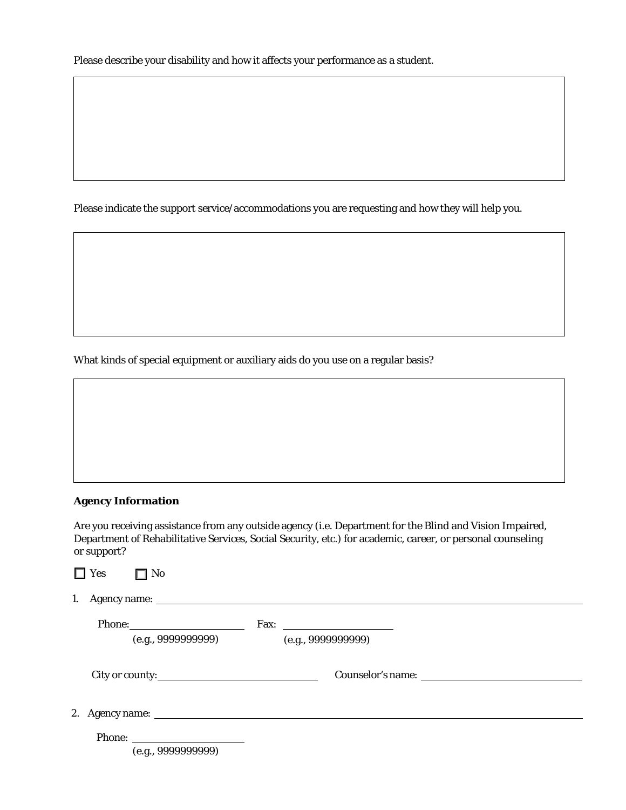Please indicate the support service/accommodations you are requesting and how they will help you.

What kinds of special equipment or auxiliary aids do you use on a regular basis?

### **Agency Information**

Are you receiving assistance from any outside agency (i.e. Department for the Blind and Vision Impaired, Department of Rehabilitative Services, Social Security, etc.) for academic, career, or personal counseling or support?

|    | Yes<br>$\Box$ No   |                    |  |
|----|--------------------|--------------------|--|
| 1. |                    |                    |  |
|    |                    |                    |  |
|    | (e.g., 999999999)  | (e.g., 9999999999) |  |
|    | City or county:    |                    |  |
|    |                    |                    |  |
|    | (e.g., 9999999999) |                    |  |